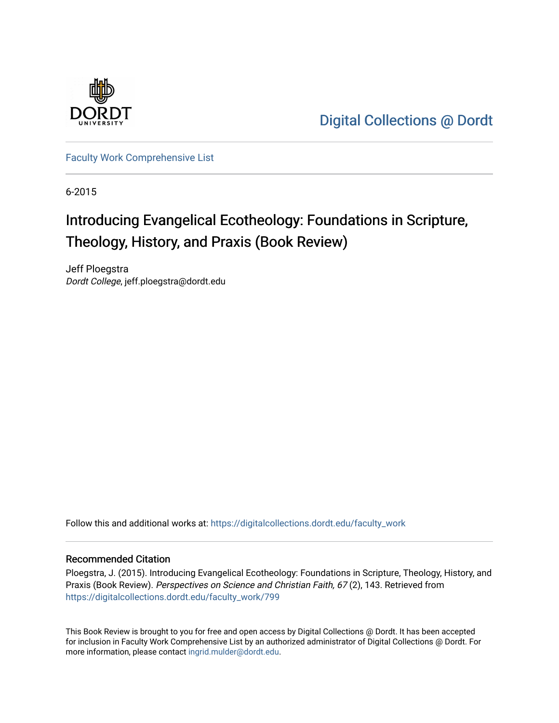

[Digital Collections @ Dordt](https://digitalcollections.dordt.edu/) 

[Faculty Work Comprehensive List](https://digitalcollections.dordt.edu/faculty_work)

6-2015

## Introducing Evangelical Ecotheology: Foundations in Scripture, Theology, History, and Praxis (Book Review)

Jeff Ploegstra Dordt College, jeff.ploegstra@dordt.edu

Follow this and additional works at: [https://digitalcollections.dordt.edu/faculty\\_work](https://digitalcollections.dordt.edu/faculty_work?utm_source=digitalcollections.dordt.edu%2Ffaculty_work%2F799&utm_medium=PDF&utm_campaign=PDFCoverPages) 

#### Recommended Citation

Ploegstra, J. (2015). Introducing Evangelical Ecotheology: Foundations in Scripture, Theology, History, and Praxis (Book Review). Perspectives on Science and Christian Faith, 67 (2), 143. Retrieved from [https://digitalcollections.dordt.edu/faculty\\_work/799](https://digitalcollections.dordt.edu/faculty_work/799?utm_source=digitalcollections.dordt.edu%2Ffaculty_work%2F799&utm_medium=PDF&utm_campaign=PDFCoverPages) 

This Book Review is brought to you for free and open access by Digital Collections @ Dordt. It has been accepted for inclusion in Faculty Work Comprehensive List by an authorized administrator of Digital Collections @ Dordt. For more information, please contact [ingrid.mulder@dordt.edu.](mailto:ingrid.mulder@dordt.edu)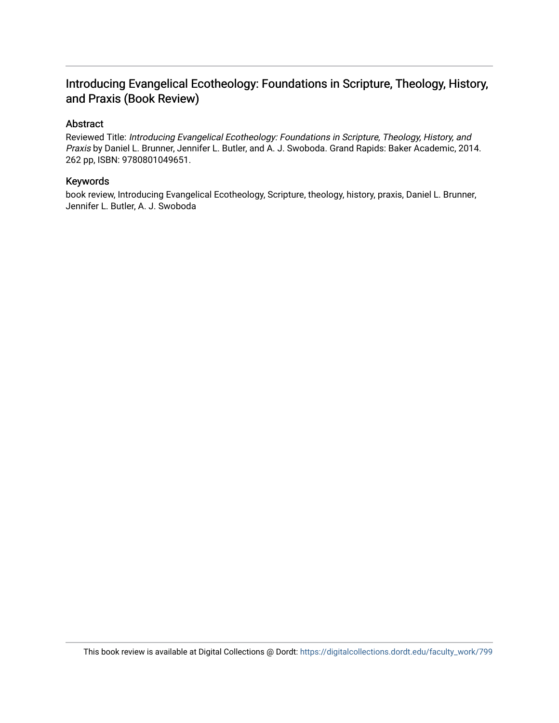### Introducing Evangelical Ecotheology: Foundations in Scripture, Theology, History, and Praxis (Book Review)

#### Abstract

Reviewed Title: Introducing Evangelical Ecotheology: Foundations in Scripture, Theology, History, and Praxis by Daniel L. Brunner, Jennifer L. Butler, and A. J. Swoboda. Grand Rapids: Baker Academic, 2014. 262 pp, ISBN: 9780801049651.

#### Keywords

book review, Introducing Evangelical Ecotheology, Scripture, theology, history, praxis, Daniel L. Brunner, Jennifer L. Butler, A. J. Swoboda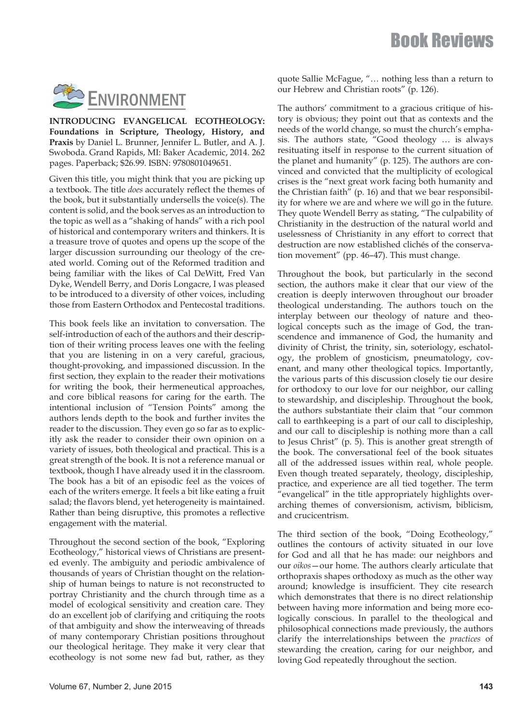

**INTRODUCING EVANGELICAL ECOTHEOLOGY: Foundations in Scripture, Theology, History, and Praxis** by Daniel L. Brunner, Jennifer L. Butler, and A. J. Swoboda. Grand Rapids, MI: Baker Academic, 2014. 262 pages. Paperback; \$26.99. ISBN: 9780801049651.

Given this title, you might think that you are picking up a textbook. The title *does* accurately reflect the themes of the book, but it substantially undersells the voice(s). The content is solid, and the book serves as an introduction to the topic as well as a "shaking of hands" with a rich pool of historical and contemporary writers and thinkers. It is a treasure trove of quotes and opens up the scope of the larger discussion surrounding our theology of the created world. Coming out of the Reformed tradition and being familiar with the likes of Cal DeWitt, Fred Van Dyke, Wendell Berry, and Doris Longacre, I was pleased to be introduced to a diversity of other voices, including those from Eastern Orthodox and Pentecostal traditions.

This book feels like an invitation to conversation. The self-introduction of each of the authors and their description of their writing process leaves one with the feeling that you are listening in on a very careful, gracious, thought-provoking, and impassioned discussion. In the first section, they explain to the reader their motivations for writing the book, their hermeneutical approaches, and core biblical reasons for caring for the earth. The intentional inclusion of "Tension Points" among the authors lends depth to the book and further invites the reader to the discussion. They even go so far as to explicitly ask the reader to consider their own opinion on a variety of issues, both theological and practical. This is a great strength of the book. It is not a reference manual or textbook, though I have already used it in the classroom. The book has a bit of an episodic feel as the voices of each of the writers emerge. It feels a bit like eating a fruit salad; the flavors blend, yet heterogeneity is maintained. Rather than being disruptive, this promotes a reflective engagement with the material.

Throughout the second section of the book, "Exploring Ecotheology," historical views of Christians are presented evenly. The ambiguity and periodic ambivalence of thousands of years of Christian thought on the relationship of human beings to nature is not reconstructed to portray Christianity and the church through time as a model of ecological sensitivity and creation care. They do an excellent job of clarifying and critiquing the roots of that ambiguity and show the interweaving of threads of many contemporary Christian positions throughout our theological heritage. They make it very clear that ecotheology is not some new fad but, rather, as they

quote Sallie McFague, "… nothing less than a return to our Hebrew and Christian roots" (p. 126).

The authors' commitment to a gracious critique of history is obvious; they point out that as contexts and the needs of the world change, so must the church's emphasis. The authors state, "Good theology … is always resituating itself in response to the current situation of the planet and humanity" (p. 125). The authors are convinced and convicted that the multiplicity of ecological crises is the "next great work facing both humanity and the Christian faith" (p. 16) and that we bear responsibility for where we are and where we will go in the future. They quote Wendell Berry as stating, "The culpability of Christianity in the destruction of the natural world and uselessness of Christianity in any effort to correct that destruction are now established clichés of the conservation movement" (pp. 46–47). This must change.

Throughout the book, but particularly in the second section, the authors make it clear that our view of the creation is deeply interwoven throughout our broader theological understanding. The authors touch on the interplay between our theology of nature and theological concepts such as the image of God, the transcendence and immanence of God, the humanity and divinity of Christ, the trinity, sin, soteriology, eschatology, the problem of gnosticism, pneumatology, covenant, and many other theological topics. Importantly, the various parts of this discussion closely tie our desire for orthodoxy to our love for our neighbor, our calling to stewardship, and discipleship. Throughout the book, the authors substantiate their claim that "our common call to earthkeeping is a part of our call to discipleship, and our call to discipleship is nothing more than a call to Jesus Christ" (p. 5). This is another great strength of the book. The conversational feel of the book situates all of the addressed issues within real, whole people. Even though treated separately, theology, discipleship, practice, and experience are all tied together. The term "evangelical" in the title appropriately highlights overarching themes of conversionism, activism, biblicism, and crucicentrism.

The third section of the book, "Doing Ecotheology," outlines the contours of activity situated in our love for God and all that he has made: our neighbors and our *oikos*—our home. The authors clearly articulate that orthopraxis shapes orthodoxy as much as the other way around; knowledge is insufficient. They cite research which demonstrates that there is no direct relationship between having more information and being more ecologically conscious. In parallel to the theological and philosophical connections made previously, the authors clarify the interrelationships between the *practices* of stewarding the creation, caring for our neighbor, and loving God repeatedly throughout the section.